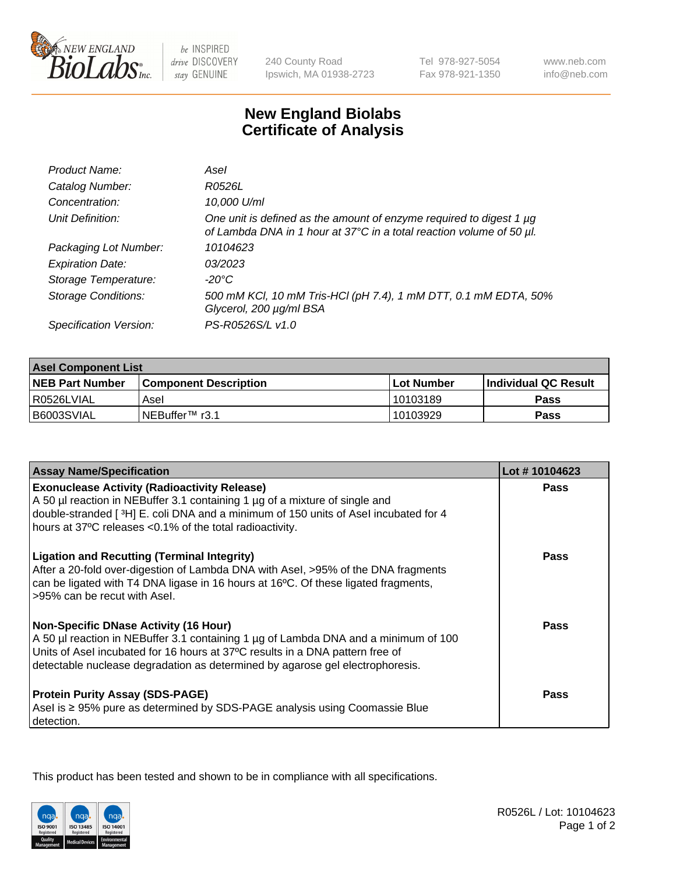

 $be$  INSPIRED drive DISCOVERY stay GENUINE

240 County Road Ipswich, MA 01938-2723 Tel 978-927-5054 Fax 978-921-1350 www.neb.com info@neb.com

## **New England Biolabs Certificate of Analysis**

| Product Name:              | Asel                                                                                                                                        |
|----------------------------|---------------------------------------------------------------------------------------------------------------------------------------------|
| Catalog Number:            | R0526L                                                                                                                                      |
| Concentration:             | 10,000 U/ml                                                                                                                                 |
| Unit Definition:           | One unit is defined as the amount of enzyme required to digest 1 µg<br>of Lambda DNA in 1 hour at 37°C in a total reaction volume of 50 µl. |
| Packaging Lot Number:      | 10104623                                                                                                                                    |
| <b>Expiration Date:</b>    | 03/2023                                                                                                                                     |
| Storage Temperature:       | $-20^{\circ}$ C                                                                                                                             |
| <b>Storage Conditions:</b> | 500 mM KCI, 10 mM Tris-HCI (pH 7.4), 1 mM DTT, 0.1 mM EDTA, 50%<br>Glycerol, 200 µg/ml BSA                                                  |
| Specification Version:     | PS-R0526S/L v1.0                                                                                                                            |

| <b>Asel Component List</b> |                              |              |                        |  |
|----------------------------|------------------------------|--------------|------------------------|--|
| <b>NEB Part Number</b>     | <b>Component Description</b> | l Lot Number | l Individual QC Result |  |
| R0526LVIAL                 | Asel                         | 10103189     | Pass                   |  |
| B6003SVIAL                 | INEBuffer™ r3.1              | 10103929     | Pass                   |  |

| <b>Assay Name/Specification</b>                                                                                                                                                                                                                                                                       | Lot #10104623 |
|-------------------------------------------------------------------------------------------------------------------------------------------------------------------------------------------------------------------------------------------------------------------------------------------------------|---------------|
| <b>Exonuclease Activity (Radioactivity Release)</b><br>A 50 µl reaction in NEBuffer 3.1 containing 1 µg of a mixture of single and                                                                                                                                                                    | <b>Pass</b>   |
| double-stranded [3H] E. coli DNA and a minimum of 150 units of Asel incubated for 4<br>hours at 37°C releases <0.1% of the total radioactivity.                                                                                                                                                       |               |
| <b>Ligation and Recutting (Terminal Integrity)</b><br>After a 20-fold over-digestion of Lambda DNA with Asel, >95% of the DNA fragments<br>can be ligated with T4 DNA ligase in 16 hours at 16°C. Of these ligated fragments,<br>>95% can be recut with Asel.                                         | Pass          |
| <b>Non-Specific DNase Activity (16 Hour)</b><br>A 50 µl reaction in NEBuffer 3.1 containing 1 µg of Lambda DNA and a minimum of 100<br>Units of Asel incubated for 16 hours at 37°C results in a DNA pattern free of<br>detectable nuclease degradation as determined by agarose gel electrophoresis. | Pass          |
| <b>Protein Purity Assay (SDS-PAGE)</b><br>Asel is ≥ 95% pure as determined by SDS-PAGE analysis using Coomassie Blue<br>detection.                                                                                                                                                                    | Pass          |

This product has been tested and shown to be in compliance with all specifications.